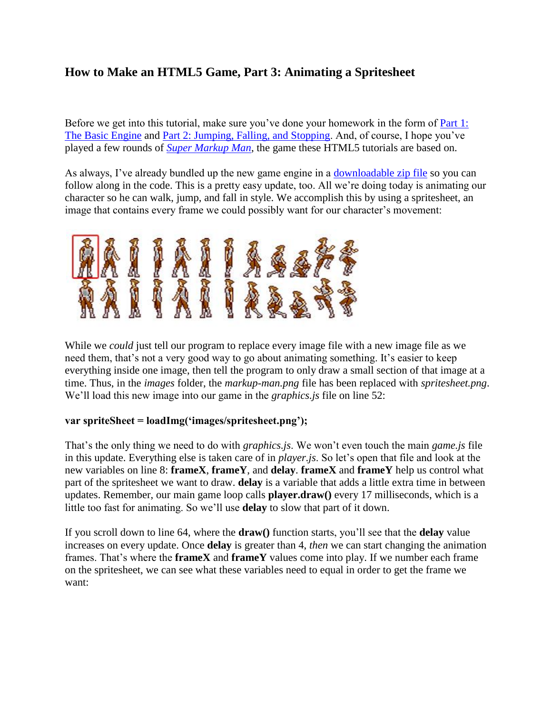## **How to Make an HTML5 Game, Part 3: Animating a Spritesheet**

Before we get into this tutorial, make sure you've done your homework in the form of [Part 1:](http://www.roppychop.com/files/html5-part1.pdf)  [The Basic Engine](http://www.roppychop.com/files/html5-part1.pdf) and [Part 2: Jumping, Falling, and Stopping.](http://www.roppychop.com/files/html5-part2.pdf) And, of course, I hope you've played a few rounds of *[Super Markup Man](http://markup.roppychop.com/)*, the game these HTML5 tutorials are based on.

As always, I've already bundled up the new game engine in a [downloadable zip file](http://www.roppychop.com/files/html5-part3.zip) so you can follow along in the code. This is a pretty easy update, too. All we're doing today is animating our character so he can walk, jump, and fall in style. We accomplish this by using a spritesheet, an image that contains every frame we could possibly want for our character's movement:



While we *could* just tell our program to replace every image file with a new image file as we need them, that's not a very good way to go about animating something. It's easier to keep everything inside one image, then tell the program to only draw a small section of that image at a time. Thus, in the *images* folder, the *markup-man.png* file has been replaced with *spritesheet.png*. We'll load this new image into our game in the *graphics.js* file on line 52:

## **var spriteSheet = loadImg('images/spritesheet.png');**

That's the only thing we need to do with *graphics.js*. We won't even touch the main *game.js* file in this update. Everything else is taken care of in *player.js*. So let's open that file and look at the new variables on line 8: **frameX**, **frameY**, and **delay**. **frameX** and **frameY** help us control what part of the spritesheet we want to draw. **delay** is a variable that adds a little extra time in between updates. Remember, our main game loop calls **player.draw()** every 17 milliseconds, which is a little too fast for animating. So we'll use **delay** to slow that part of it down.

If you scroll down to line 64, where the **draw()** function starts, you'll see that the **delay** value increases on every update. Once **delay** is greater than 4, *then* we can start changing the animation frames. That's where the **frameX** and **frameY** values come into play. If we number each frame on the spritesheet, we can see what these variables need to equal in order to get the frame we want: